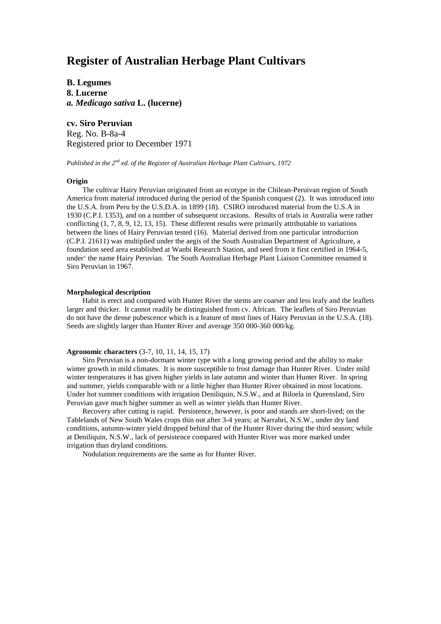# **Register of Australian Herbage Plant Cultivars**

**B. Legumes 8. Lucerne** *a. Medicago sativa* **L. (lucerne)**

**cv. Siro Peruvian** Reg. No. B-8a-4 Registered prior to December 1971

*Published in the 2nd ed. of the Register of Australian Herbage Plant Cultivars, 1972*

## **Origin**

The cultivar Hairy Peruvian originated from an ecotype in the Chilean-Peruivan region of South America from material introduced during the period of the Spanish conquest (2). It was introduced into the U.S.A. from Peru by the U.S.D.A. in 1899 (18). CSIRO introduced material from the U.S.A in 1930 (C.P.I. 1353), and on a number of subsequent occasions. Results of trials in Australia were rather conflicting (1, 7, 8, 9, 12, 13, 15). These different results were primarily attributable to variations between the lines of Hairy Peruvian tested (16). Material derived from one particular introduction (C.P.I. 21611) was multiplied under the aegis of the South Australian Department of Agriculture, a foundation seed area established at Wanbi Research Station, and seed from it first certified in 1964-5, under' the name Hairy Peruvian. The South Australian Herbage Plant Liaison Committee renamed it Siro Peruvian in 1967.

## **Morphological description**

Habit is erect and compared with Hunter River the stems are coarser and less leafy and the leaflets larger and thicker. It cannot readily be distinguished from cv. African. The leaflets of Siro Peruvian do not have the dense pubescence which is a feature of most lines of Hairy Peruvian in the U.S.A. (18). Seeds are slightly larger than Hunter River and average 350 000-360 000/kg.

#### **Agronomic characters** (3-7, 10, 11, 14, 15, 17)

Siro Peruvian is a non-dormant winter type with a long growing period and the ability to make winter growth in mild climates. It is more susceptible to frost damage than Hunter River. Under mild winter temperatures it has given higher yields in late autumn and winter than Hunter River. In spring and summer, yields comparable with or a little higher than Hunter River obtained in most locations. Under hot summer conditions with irrigation Deniliquin, N.S.W., and at Biloela in Queensland, Siro Peruvian gave much higher summer as well as winter yields than Hunter River.

Recovery after cutting is rapid. Persistence, however, is poor and stands are short-lived; on the Tablelands of New South Wales crops thin out after 3-4 years; at Narrabri, N.S.W., under dry land conditions, autumn-winter yield dropped behind that of the Hunter River during the third season; while at Deniliquin, N.S.W., lack of persistence compared with Hunter River was more marked under irrigation than dryland conditions.

Nodulation requirements are the same as for Hunter River.